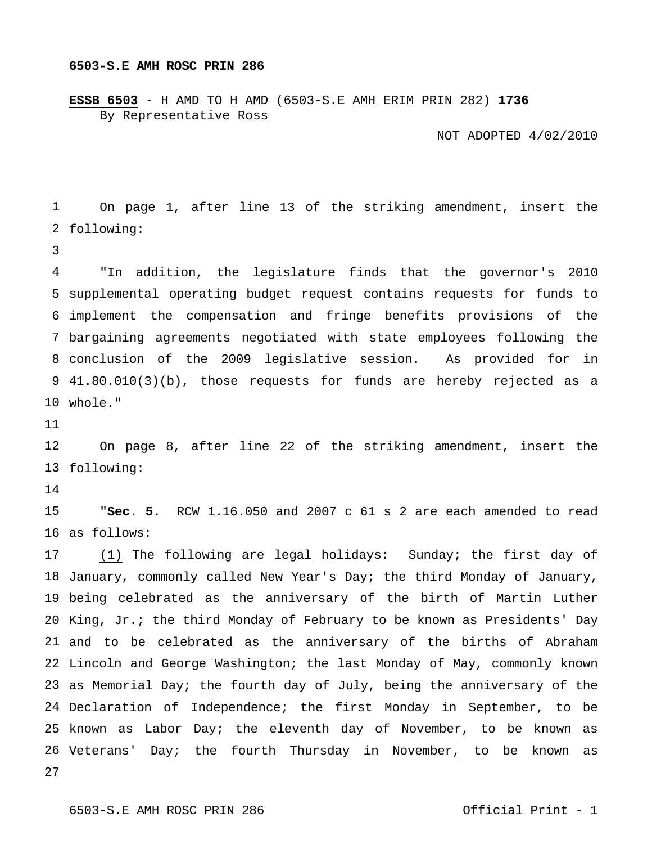## **6503-S.E AMH ROSC PRIN 286**

**ESSB 6503** - H AMD TO H AMD (6503-S.E AMH ERIM PRIN 282) **1736** By Representative Ross

NOT ADOPTED 4/02/2010

 following: On page 1, after line 13 of the striking amendment, insert the

 supplemental operating budget request contains requests for funds to implement the compensation and fringe benefits provisions of the bargaining agreements negotiated with state employees following the conclusion of the 2009 legislative session. As provided for in 41.80.010(3)(b), those requests for funds are hereby rejected as a whole." "In addition, the legislature finds that the governor's 2010

 following: On page 8, after line 22 of the striking amendment, insert the

 as follows: "**Sec. 5.** RCW 1.16.050 and 2007 c 61 s 2 are each amended to read

 January, commonly called New Year's Day; the third Monday of January, being celebrated as the anniversary of the birth of Martin Luther King, Jr.; the third Monday of February to be known as Presidents' Day and to be celebrated as the anniversary of the births of Abraham Lincoln and George Washington; the last Monday of May, commonly known as Memorial Day; the fourth day of July, being the anniversary of the Declaration of Independence; the first Monday in September, to be known as Labor Day; the eleventh day of November, to be known as Veterans' Day; the fourth Thursday in November, to be known as (1) The following are legal holidays: Sunday; the first day of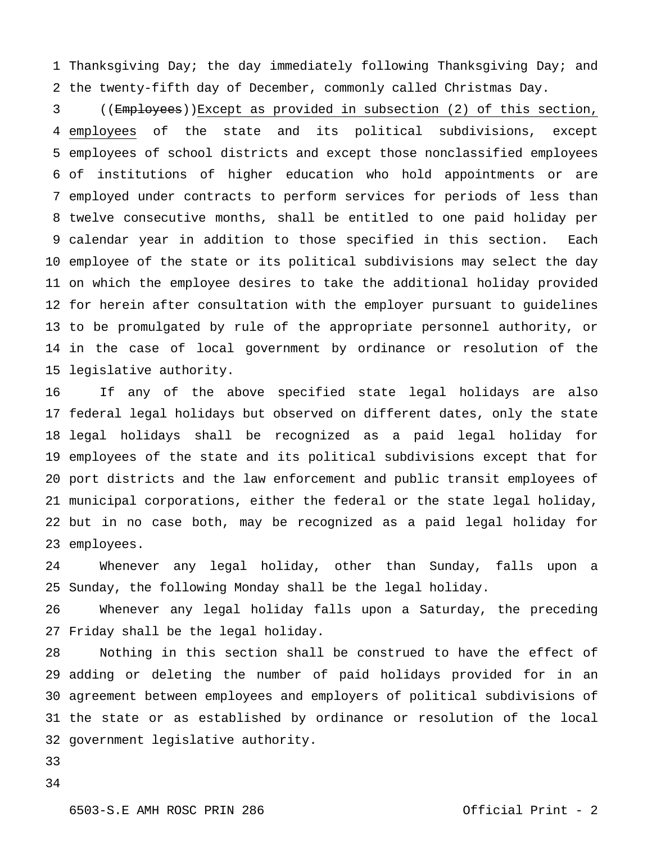Thanksgiving Day; the day immediately following Thanksgiving Day; and the twenty-fifth day of December, commonly called Christmas Day.

 4 employees of employees of school districts and except those nonclassified employees of institutions of higher education who hold appointments or are employed under contracts to perform services for periods of less than twelve consecutive months, shall be entitled to one paid holiday per calendar year in addition to those specified in this section. Each employee of the state or its political subdivisions may select the day on which the employee desires to take the additional holiday provided for herein after consultation with the employer pursuant to guidelines to be promulgated by rule of the appropriate personnel authority, or in the case of local government by ordinance or resolution of the legislative authority. ((Employees))Except as provided in subsection (2) of this section, the state and its political subdivisions, except

 federal legal holidays but observed on different dates, only the state legal holidays shall be recognized as a paid legal holiday for employees of the state and its political subdivisions except that for port districts and the law enforcement and public transit employees of municipal corporations, either the federal or the state legal holiday, but in no case both, may be recognized as a paid legal holiday for employees. If any of the above specified state legal holidays are also

 Sunday, the following Monday shall be the legal holiday. Whenever any legal holiday, other than Sunday, falls upon a

 Friday shall be the legal holiday. Whenever any legal holiday falls upon a Saturday, the preceding

 adding or deleting the number of paid holidays provided for in an agreement between employees and employers of political subdivisions of the state or as established by ordinance or resolution of the local government legislative authority. Nothing in this section shall be construed to have the effect of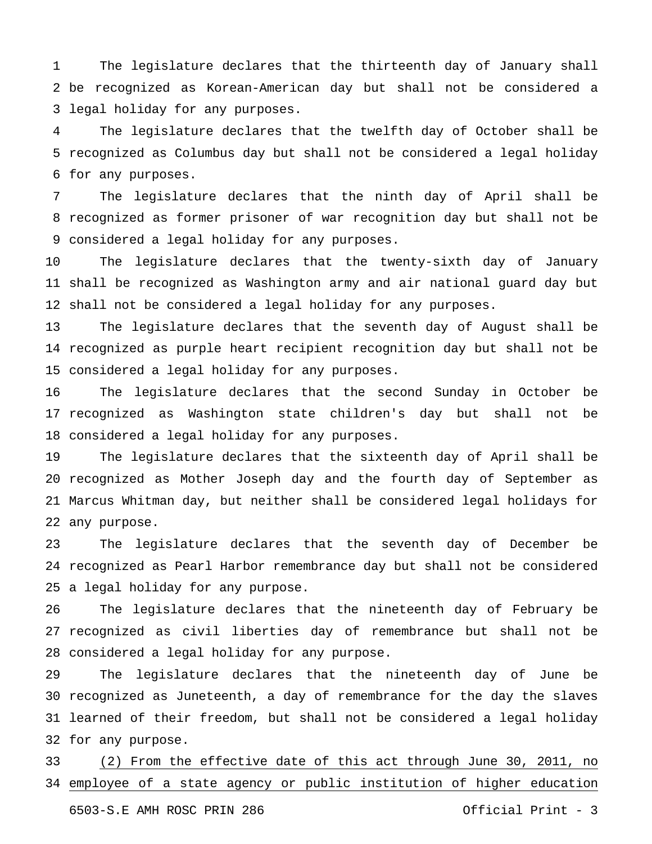be recognized as Korean-American day but shall not be considered a legal holiday for any purposes. The legislature declares that the thirteenth day of January shall

 recognized as Columbus day but shall not be considered a legal holiday for any purposes. The legislature declares that the twelfth day of October shall be

 recognized as former prisoner of war recognition day but shall not be considered a legal holiday for any purposes. The legislature declares that the ninth day of April shall be

 shall be recognized as Washington army and air national guard day but shall not be considered a legal holiday for any purposes. The legislature declares that the twenty-sixth day of January

 recognized as purple heart recipient recognition day but shall not be considered a legal holiday for any purposes. The legislature declares that the seventh day of August shall be

 recognized as Washington state children's day but shall not be considered a legal holiday for any purposes. The legislature declares that the second Sunday in October be

 recognized as Mother Joseph day and the fourth day of September as Marcus Whitman day, but neither shall be considered legal holidays for any purpose. The legislature declares that the sixteenth day of April shall be

 recognized as Pearl Harbor remembrance day but shall not be considered a legal holiday for any purpose. The legislature declares that the seventh day of December be

 recognized as civil liberties day of remembrance but shall not be considered a legal holiday for any purpose. The legislature declares that the nineteenth day of February be

 recognized as Juneteenth, a day of remembrance for the day the slaves learned of their freedom, but shall not be considered a legal holiday for any purpose. The legislature declares that the nineteenth day of June be

 employee of a state agency or public institution of higher education (2) From the effective date of this act through June 30, 2011, no